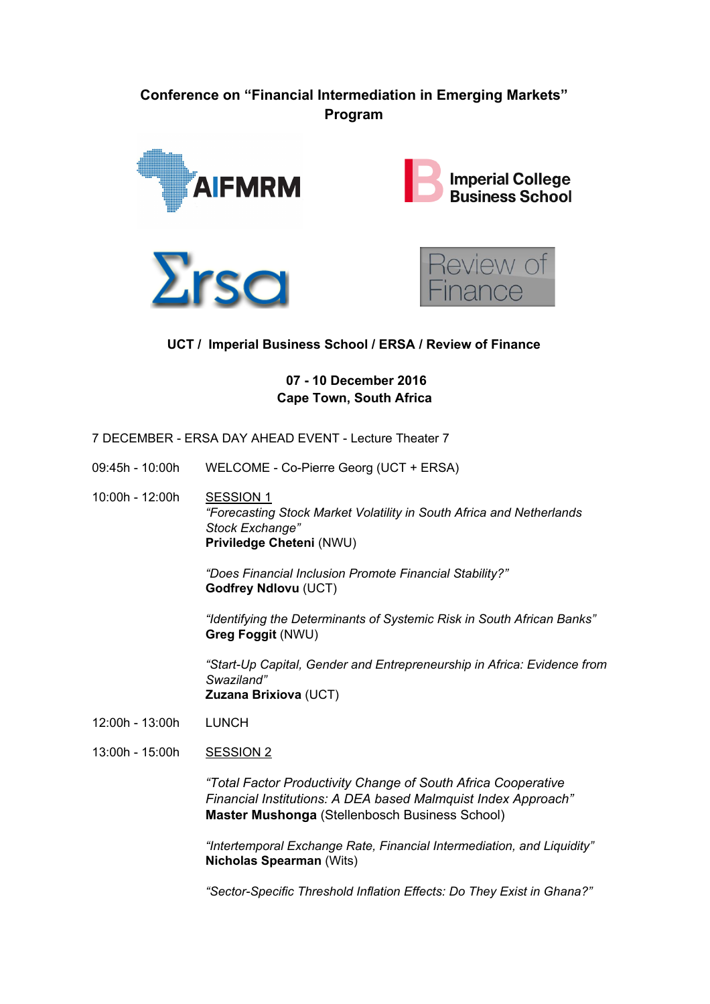# **Conference on "Financial Intermediation in Emerging Markets" Program**









## **UCT / Imperial Business School / ERSA / Review of Finance**

**07 - 10 December 2016 Cape Town, South Africa**

7 DECEMBER - ERSA DAY AHEAD EVENT - Lecture Theater 7

- 09:45h 10:00h WELCOME Co-Pierre Georg (UCT + ERSA)
- 10:00h 12:00h SESSION 1 *"Forecasting Stock Market Volatility in South Africa and Netherlands Stock Exchange"* **Priviledge Cheteni** (NWU)

*"Does Financial Inclusion Promote Financial Stability?"* **Godfrey Ndlovu** (UCT)

*"Identifying the Determinants of Systemic Risk in South African Banks"* **Greg Foggit** (NWU)

*"Start-Up Capital, Gender and Entrepreneurship in Africa: Evidence from Swaziland"* **Zuzana Brixiova** (UCT)

- 12:00h 13:00h LUNCH
- 13:00h 15:00h SESSION 2

*"Total Factor Productivity Change of South Africa Cooperative Financial Institutions: A DEA based Malmquist Index Approach"* **Master Mushonga** (Stellenbosch Business School)

*"Intertemporal Exchange Rate, Financial Intermediation, and Liquidity"* **Nicholas Spearman** (Wits)

*"Sector-Specific Threshold Inflation Effects: Do They Exist in Ghana?"*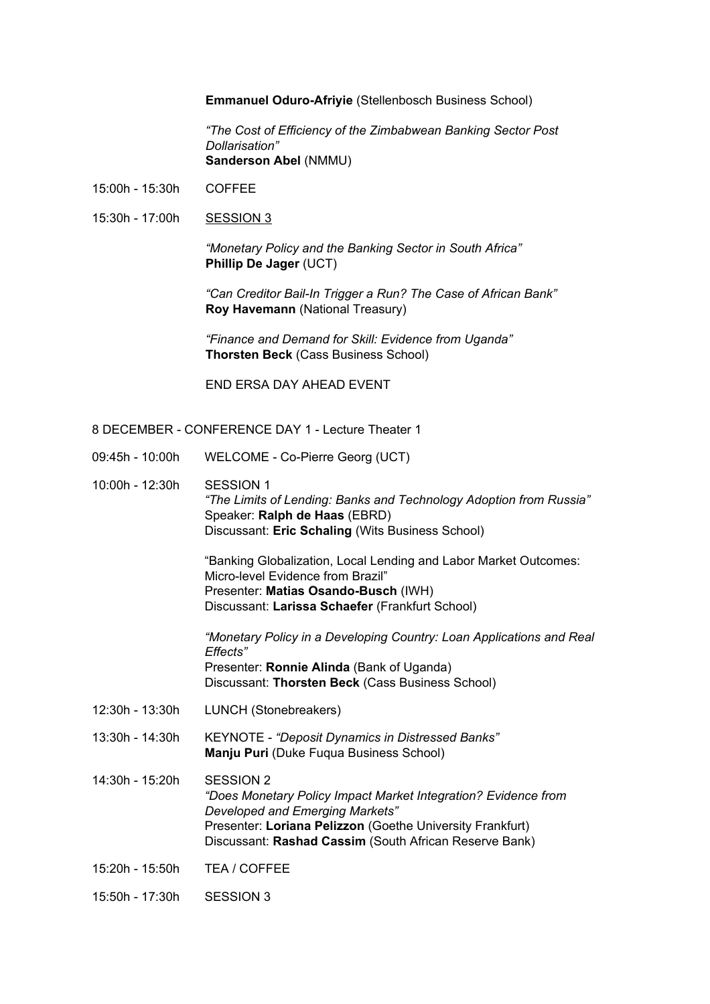**Emmanuel Oduro-Afriyie** (Stellenbosch Business School)

*"The Cost of Efficiency of the Zimbabwean Banking Sector Post Dollarisation"* **Sanderson Abel** (NMMU)

- 15:00h 15:30h COFFEE
- 15:30h 17:00h SESSION 3

*"Monetary Policy and the Banking Sector in South Africa"* **Phillip De Jager** (UCT)

*"Can Creditor Bail-In Trigger a Run? The Case of African Bank"* **Roy Havemann** (National Treasury)

*"Finance and Demand for Skill: Evidence from Uganda"* **Thorsten Beck** (Cass Business School)

END ERSA DAY AHEAD EVENT

8 DECEMBER - CONFERENCE DAY 1 - Lecture Theater 1

- 09:45h 10:00h WELCOME Co-Pierre Georg (UCT)
- 10:00h 12:30h SESSION 1 *"The Limits of Lending: Banks and Technology Adoption from Russia"* Speaker: **Ralph de Haas** (EBRD) Discussant: **Eric Schaling** (Wits Business School)

"Banking Globalization, Local Lending and Labor Market Outcomes: Micro-level Evidence from Brazil" Presenter: **Matias Osando-Busch** (IWH) Discussant: **Larissa Schaefer** (Frankfurt School)

*"Monetary Policy in a Developing Country: Loan Applications and Real Effects"* Presenter: **Ronnie Alinda** (Bank of Uganda) Discussant: **Thorsten Beck** (Cass Business School)

- 12:30h 13:30h LUNCH (Stonebreakers)
- 13:30h 14:30h KEYNOTE *"Deposit Dynamics in Distressed Banks"* **Manju Puri** (Duke Fuqua Business School)
- 14:30h 15:20h SESSION 2 *"Does Monetary Policy Impact Market Integration? Evidence from Developed and Emerging Markets"* Presenter: **Loriana Pelizzon** (Goethe University Frankfurt) Discussant: **Rashad Cassim** (South African Reserve Bank)
- 15:20h 15:50h TEA / COFFEE
- 15:50h 17:30h SESSION 3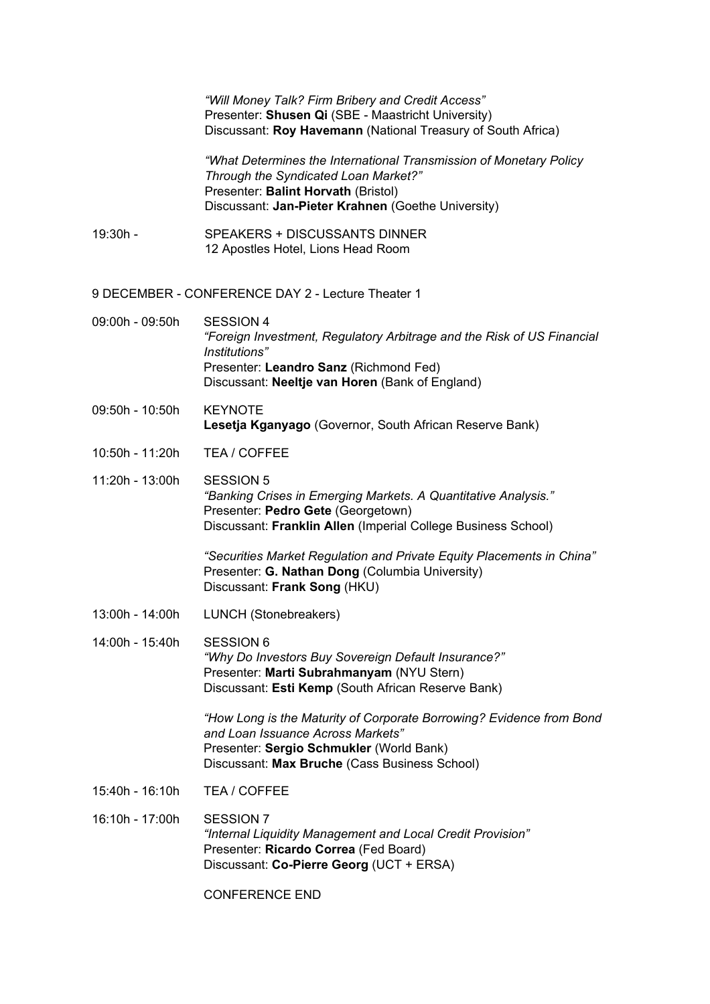*"Will Money Talk? Firm Bribery and Credit Access"* Presenter: **Shusen Qi** (SBE - Maastricht University) Discussant: **Roy Havemann** (National Treasury of South Africa)

*"What Determines the International Transmission of Monetary Policy Through the Syndicated Loan Market?"* Presenter: **Balint Horvath** (Bristol) Discussant: **Jan-Pieter Krahnen** (Goethe University)

19:30h - SPEAKERS + DISCUSSANTS DINNER 12 Apostles Hotel, Lions Head Room

9 DECEMBER - CONFERENCE DAY 2 - Lecture Theater 1

- 09:00h 09:50h SESSION 4 *"Foreign Investment, Regulatory Arbitrage and the Risk of US Financial Institutions"* Presenter: **Leandro Sanz** (Richmond Fed) Discussant: **Neeltje van Horen** (Bank of England)
- 09:50h 10:50h KEYNOTE **Lesetja Kganyago** (Governor, South African Reserve Bank)
- 10:50h 11:20h TEA / COFFEE

11:20h - 13:00h SESSION 5 *"Banking Crises in Emerging Markets. A Quantitative Analysis."* Presenter: **Pedro Gete** (Georgetown) Discussant: **Franklin Allen** (Imperial College Business School)

> *"Securities Market Regulation and Private Equity Placements in China"* Presenter: **G. Nathan Dong** (Columbia University) Discussant: **Frank Song** (HKU)

- 13:00h 14:00h LUNCH (Stonebreakers)
- 14:00h 15:40h SESSION 6 *"Why Do Investors Buy Sovereign Default Insurance?"* Presenter: **Marti Subrahmanyam** (NYU Stern) Discussant: **Esti Kemp** (South African Reserve Bank)

*"How Long is the Maturity of Corporate Borrowing? Evidence from Bond and Loan Issuance Across Markets"* Presenter: **Sergio Schmukler** (World Bank) Discussant: **Max Bruche** (Cass Business School)

- 15:40h 16:10h TEA / COFFEE
- 16:10h 17:00h SESSION 7 *"Internal Liquidity Management and Local Credit Provision"* Presenter: **Ricardo Correa** (Fed Board) Discussant: **Co-Pierre Georg** (UCT + ERSA)

CONFERENCE END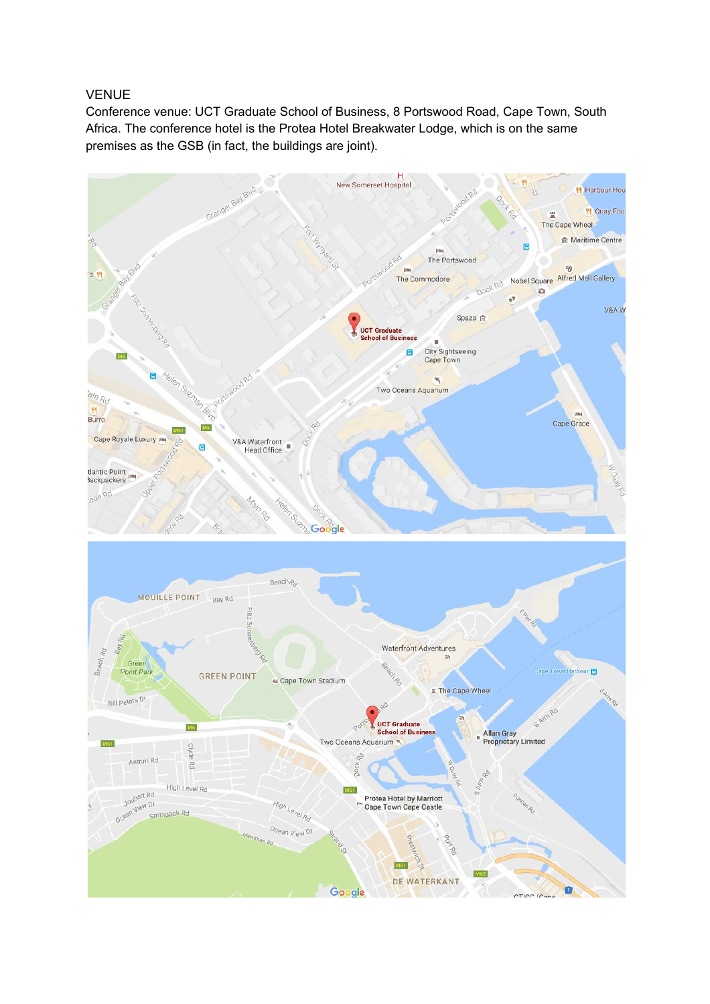## VENUE

Conference venue: UCT Graduate School of Business, 8 Portswood Road, Cape Town, South Africa. The conference hotel is the Protea Hotel Breakwater Lodge, which is on the same premises as the GSB (in fact, the buildings are joint).